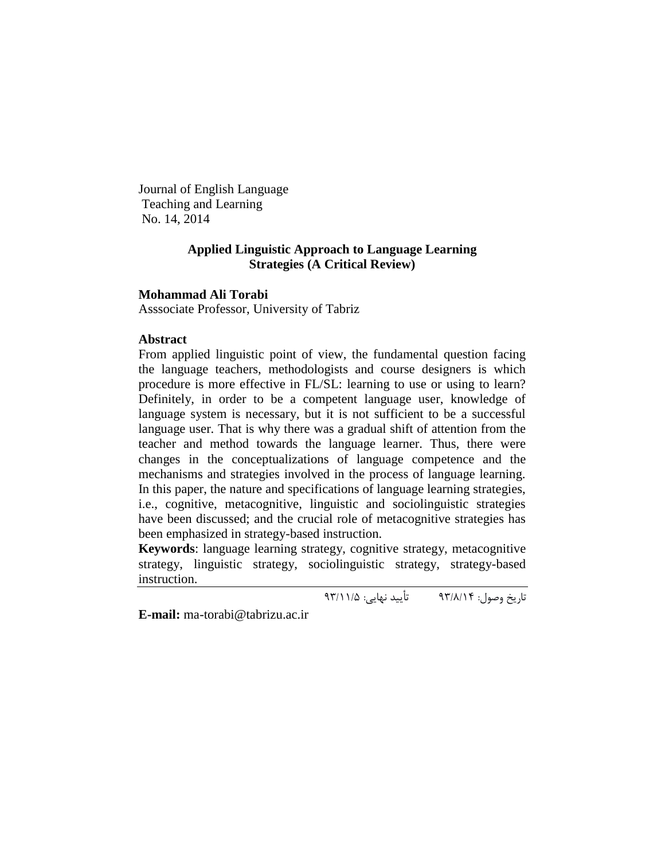Journal of English Language Teaching and Learning No. 14, 2014

# **Applied Linguistic Approach to Language Learning Strategies (A Critical Review)**

## **Mohammad Ali Torabi**

Asssociate Professor, University of Tabriz

## **Abstract**

From applied linguistic point of view, the fundamental question facing the language teachers, methodologists and course designers is which procedure is more effective in FL/SL: learning to use or using to learn? Definitely, in order to be a competent language user, knowledge of language system is necessary, but it is not sufficient to be a successful language user. That is why there was a gradual shift of attention from the teacher and method towards the language learner. Thus, there were changes in the conceptualizations of language competence and the mechanisms and strategies involved in the process of language learning. In this paper, the nature and specifications of language learning strategies, i.e., cognitive, metacognitive, linguistic and sociolinguistic strategies have been discussed; and the crucial role of metacognitive strategies has been emphasized in strategy-based instruction.

**Keywords**: language learning strategy, cognitive strategy, metacognitive strategy, linguistic strategy, sociolinguistic strategy, strategy-based instruction.

تاریخ وصول: 39/8/41 تأیید نهایی: 39/44/5

**E-mail:** [ma-torabi@tabrizu.ac.ir](mailto:ma-torabi@tabrizu.ac.ir)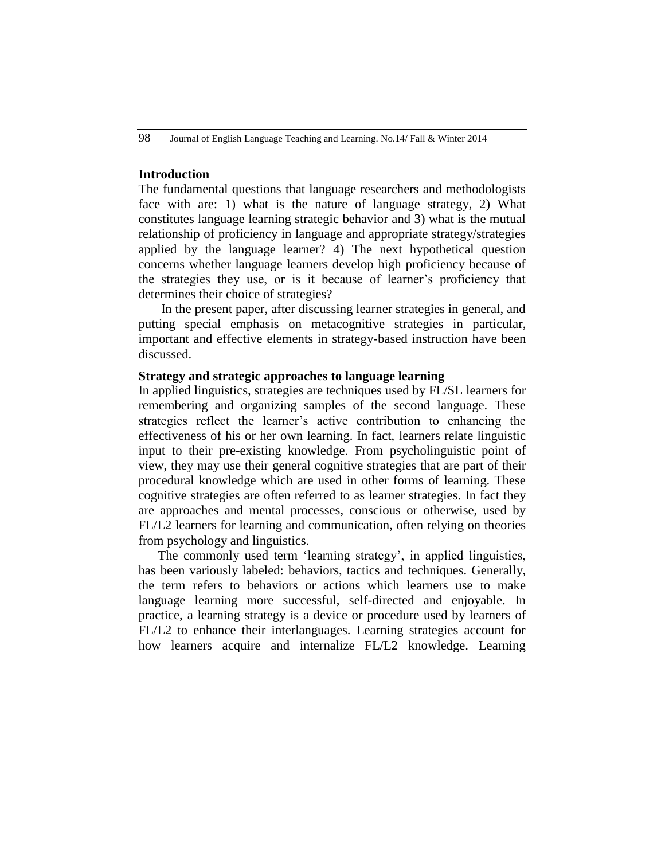## **Introduction**

The fundamental questions that language researchers and methodologists face with are: 1) what is the nature of language strategy, 2) What constitutes language learning strategic behavior and 3) what is the mutual relationship of proficiency in language and appropriate strategy/strategies applied by the language learner? 4) The next hypothetical question concerns whether language learners develop high proficiency because of the strategies they use, or is it because of learner"s proficiency that determines their choice of strategies?

In the present paper, after discussing learner strategies in general, and putting special emphasis on metacognitive strategies in particular, important and effective elements in strategy-based instruction have been discussed.

## **Strategy and strategic approaches to language learning**

In applied linguistics, strategies are techniques used by FL/SL learners for remembering and organizing samples of the second language. These strategies reflect the learner"s active contribution to enhancing the effectiveness of his or her own learning. In fact, learners relate linguistic input to their pre-existing knowledge. From psycholinguistic point of view, they may use their general cognitive strategies that are part of their procedural knowledge which are used in other forms of learning. These cognitive strategies are often referred to as learner strategies. In fact they are approaches and mental processes, conscious or otherwise, used by FL/L2 learners for learning and communication, often relying on theories from psychology and linguistics.

The commonly used term 'learning strategy', in applied linguistics, has been variously labeled: behaviors, tactics and techniques. Generally, the term refers to behaviors or actions which learners use to make language learning more successful, self-directed and enjoyable. In practice, a learning strategy is a device or procedure used by learners of FL/L2 to enhance their interlanguages. Learning strategies account for how learners acquire and internalize FL/L2 knowledge. Learning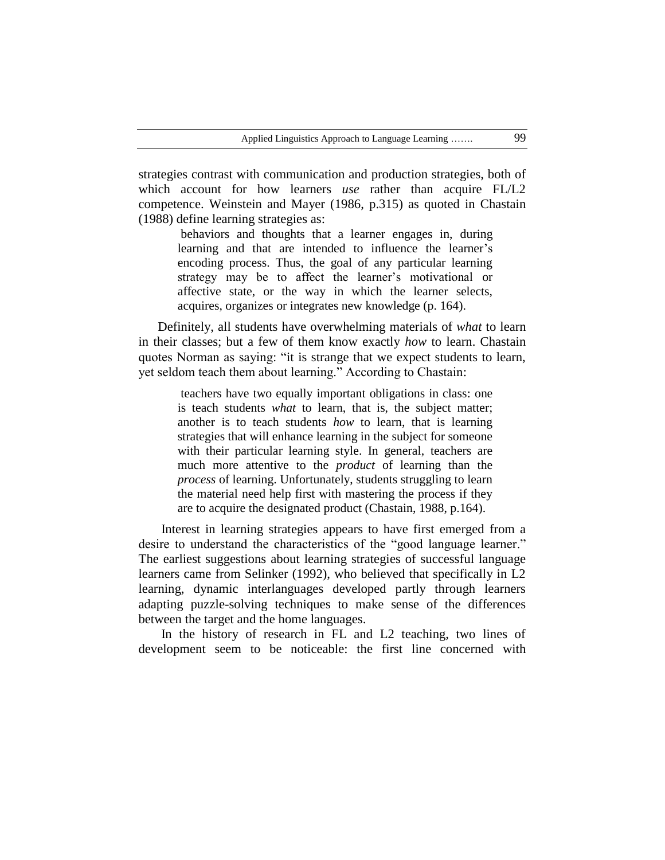strategies contrast with communication and production strategies, both of which account for how learners *use* rather than acquire FL/L2 competence. Weinstein and Mayer (1986, p.315) as quoted in Chastain (1988) define learning strategies as:

> behaviors and thoughts that a learner engages in, during learning and that are intended to influence the learner's encoding process. Thus, the goal of any particular learning strategy may be to affect the learner"s motivational or affective state, or the way in which the learner selects, acquires, organizes or integrates new knowledge (p. 164).

Definitely, all students have overwhelming materials of *what* to learn in their classes; but a few of them know exactly *how* to learn. Chastain quotes Norman as saying: "it is strange that we expect students to learn, yet seldom teach them about learning." According to Chastain:

teachers have two equally important obligations in class: one is teach students *what* to learn, that is, the subject matter; another is to teach students *how* to learn, that is learning strategies that will enhance learning in the subject for someone with their particular learning style. In general, teachers are much more attentive to the *product* of learning than the *process* of learning. Unfortunately, students struggling to learn the material need help first with mastering the process if they are to acquire the designated product (Chastain, 1988, p.164).

Interest in learning strategies appears to have first emerged from a desire to understand the characteristics of the "good language learner." The earliest suggestions about learning strategies of successful language learners came from Selinker (1992), who believed that specifically in L2 learning, dynamic interlanguages developed partly through learners adapting puzzle-solving techniques to make sense of the differences between the target and the home languages.

In the history of research in FL and L2 teaching, two lines of development seem to be noticeable: the first line concerned with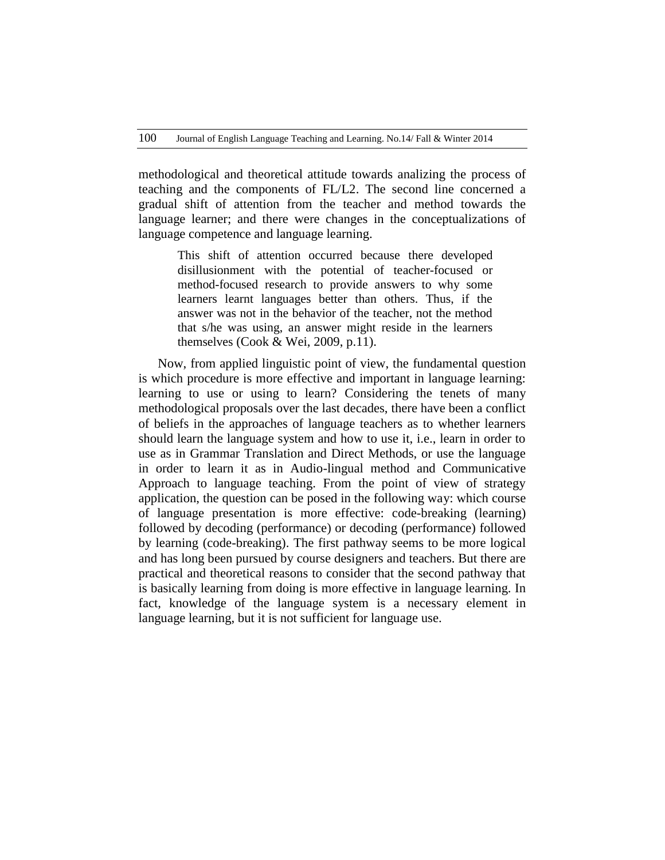methodological and theoretical attitude towards analizing the process of teaching and the components of FL/L2. The second line concerned a gradual shift of attention from the teacher and method towards the language learner; and there were changes in the conceptualizations of language competence and language learning.

This shift of attention occurred because there developed disillusionment with the potential of teacher-focused or method-focused research to provide answers to why some learners learnt languages better than others. Thus, if the answer was not in the behavior of the teacher, not the method that s/he was using, an answer might reside in the learners themselves (Cook & Wei, 2009, p.11).

Now, from applied linguistic point of view, the fundamental question is which procedure is more effective and important in language learning: learning to use or using to learn? Considering the tenets of many methodological proposals over the last decades, there have been a conflict of beliefs in the approaches of language teachers as to whether learners should learn the language system and how to use it, i.e., learn in order to use as in Grammar Translation and Direct Methods, or use the language in order to learn it as in Audio-lingual method and Communicative Approach to language teaching. From the point of view of strategy application, the question can be posed in the following way: which course of language presentation is more effective: code-breaking (learning) followed by decoding (performance) or decoding (performance) followed by learning (code-breaking). The first pathway seems to be more logical and has long been pursued by course designers and teachers. But there are practical and theoretical reasons to consider that the second pathway that is basically learning from doing is more effective in language learning. In fact, knowledge of the language system is a necessary element in language learning, but it is not sufficient for language use.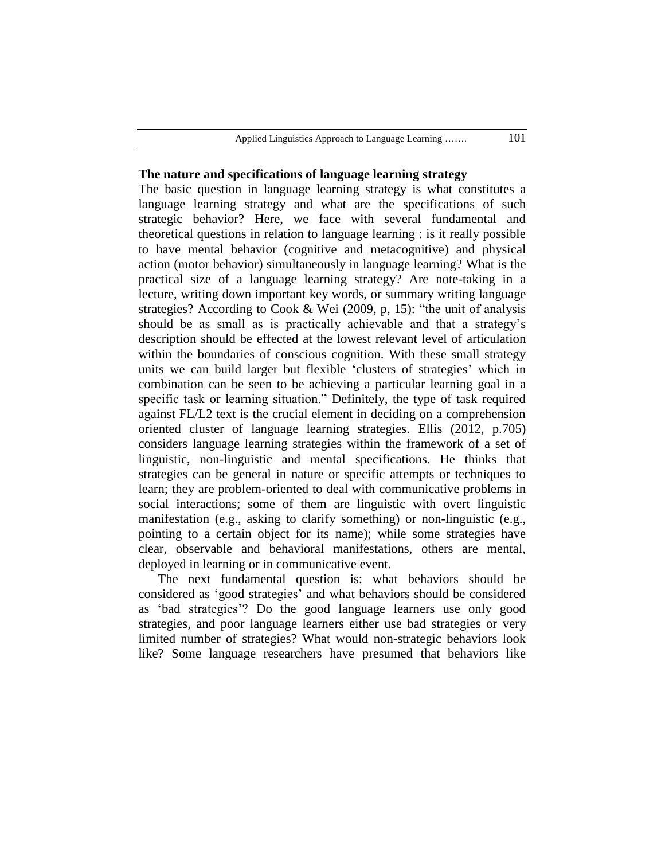### **The nature and specifications of language learning strategy**

The basic question in language learning strategy is what constitutes a language learning strategy and what are the specifications of such strategic behavior? Here, we face with several fundamental and theoretical questions in relation to language learning : is it really possible to have mental behavior (cognitive and metacognitive) and physical action (motor behavior) simultaneously in language learning? What is the practical size of a language learning strategy? Are note-taking in a lecture, writing down important key words, or summary writing language strategies? According to Cook & Wei (2009, p, 15): "the unit of analysis should be as small as is practically achievable and that a strategy"s description should be effected at the lowest relevant level of articulation within the boundaries of conscious cognition. With these small strategy units we can build larger but flexible "clusters of strategies" which in combination can be seen to be achieving a particular learning goal in a specific task or learning situation." Definitely, the type of task required against FL/L2 text is the crucial element in deciding on a comprehension oriented cluster of language learning strategies. Ellis (2012, p.705) considers language learning strategies within the framework of a set of linguistic, non-linguistic and mental specifications. He thinks that strategies can be general in nature or specific attempts or techniques to learn; they are problem-oriented to deal with communicative problems in social interactions; some of them are linguistic with overt linguistic manifestation (e.g., asking to clarify something) or non-linguistic (e.g., pointing to a certain object for its name); while some strategies have clear, observable and behavioral manifestations, others are mental, deployed in learning or in communicative event.

The next fundamental question is: what behaviors should be considered as "good strategies" and what behaviors should be considered as "bad strategies"? Do the good language learners use only good strategies, and poor language learners either use bad strategies or very limited number of strategies? What would non-strategic behaviors look like? Some language researchers have presumed that behaviors like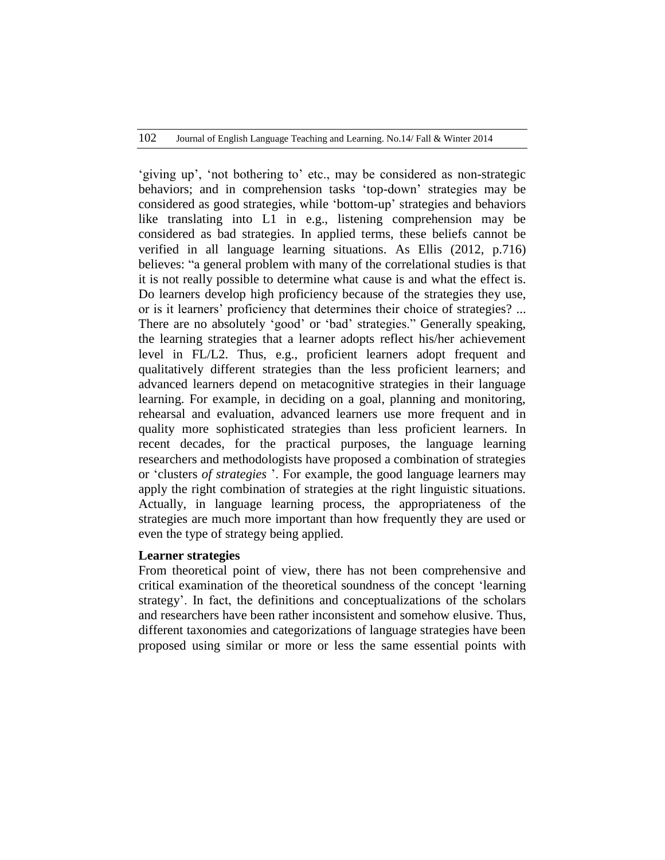"giving up", "not bothering to" etc., may be considered as non-strategic behaviors; and in comprehension tasks "top-down" strategies may be considered as good strategies, while "bottom-up" strategies and behaviors like translating into L1 in e.g., listening comprehension may be considered as bad strategies. In applied terms, these beliefs cannot be verified in all language learning situations. As Ellis (2012, p.716) believes: "a general problem with many of the correlational studies is that it is not really possible to determine what cause is and what the effect is. Do learners develop high proficiency because of the strategies they use, or is it learners" proficiency that determines their choice of strategies? ... There are no absolutely 'good' or 'bad' strategies." Generally speaking, the learning strategies that a learner adopts reflect his/her achievement level in FL/L2. Thus, e.g., proficient learners adopt frequent and qualitatively different strategies than the less proficient learners; and advanced learners depend on metacognitive strategies in their language learning. For example, in deciding on a goal, planning and monitoring, rehearsal and evaluation, advanced learners use more frequent and in quality more sophisticated strategies than less proficient learners. In recent decades, for the practical purposes, the language learning researchers and methodologists have proposed a combination of strategies or "clusters *of strategies* ". For example, the good language learners may apply the right combination of strategies at the right linguistic situations. Actually, in language learning process, the appropriateness of the strategies are much more important than how frequently they are used or even the type of strategy being applied.

### **Learner strategies**

From theoretical point of view, there has not been comprehensive and critical examination of the theoretical soundness of the concept "learning strategy". In fact, the definitions and conceptualizations of the scholars and researchers have been rather inconsistent and somehow elusive. Thus, different taxonomies and categorizations of language strategies have been proposed using similar or more or less the same essential points with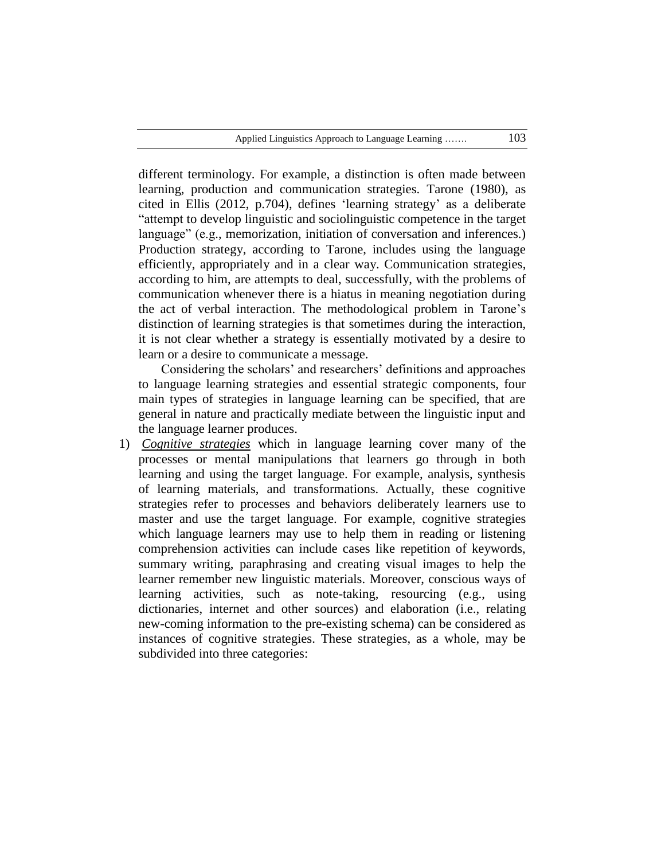different terminology. For example, a distinction is often made between learning, production and communication strategies. Tarone (1980), as cited in Ellis (2012, p.704), defines "learning strategy" as a deliberate "attempt to develop linguistic and sociolinguistic competence in the target language" (e.g., memorization, initiation of conversation and inferences.) Production strategy, according to Tarone, includes using the language efficiently, appropriately and in a clear way. Communication strategies, according to him, are attempts to deal, successfully, with the problems of communication whenever there is a hiatus in meaning negotiation during the act of verbal interaction. The methodological problem in Tarone"s distinction of learning strategies is that sometimes during the interaction, it is not clear whether a strategy is essentially motivated by a desire to learn or a desire to communicate a message.

Considering the scholars' and researchers' definitions and approaches to language learning strategies and essential strategic components, four main types of strategies in language learning can be specified, that are general in nature and practically mediate between the linguistic input and the language learner produces.

1) *Cognitive strategies* which in language learning cover many of the processes or mental manipulations that learners go through in both learning and using the target language. For example, analysis, synthesis of learning materials, and transformations. Actually, these cognitive strategies refer to processes and behaviors deliberately learners use to master and use the target language. For example, cognitive strategies which language learners may use to help them in reading or listening comprehension activities can include cases like repetition of keywords, summary writing, paraphrasing and creating visual images to help the learner remember new linguistic materials. Moreover, conscious ways of learning activities, such as note-taking, resourcing (e.g., using dictionaries, internet and other sources) and elaboration (i.e., relating new-coming information to the pre-existing schema) can be considered as instances of cognitive strategies. These strategies, as a whole, may be subdivided into three categories: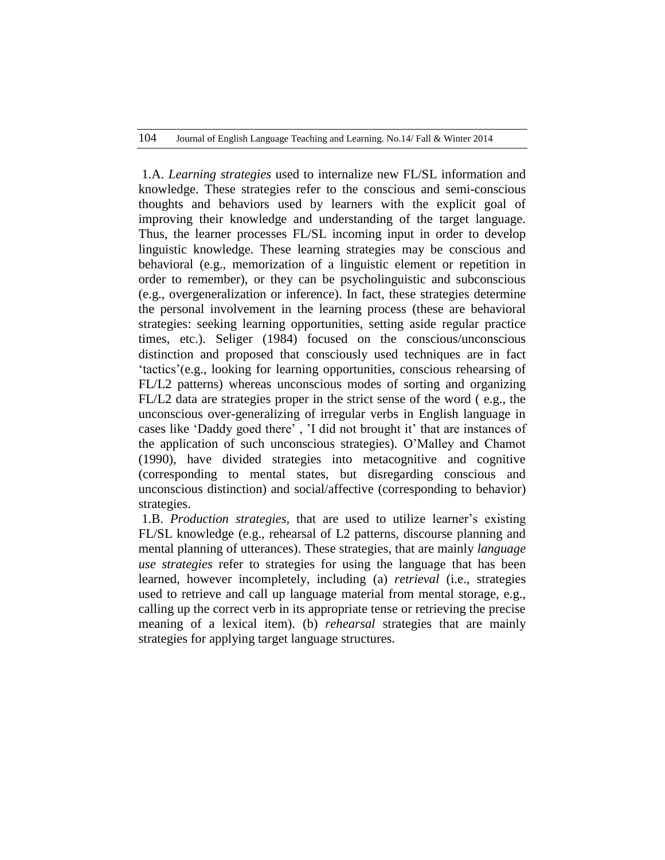1.A. *Learning strategies* used to internalize new FL/SL information and knowledge. These strategies refer to the conscious and semi-conscious thoughts and behaviors used by learners with the explicit goal of improving their knowledge and understanding of the target language. Thus, the learner processes FL/SL incoming input in order to develop linguistic knowledge. These learning strategies may be conscious and behavioral (e.g., memorization of a linguistic element or repetition in order to remember), or they can be psycholinguistic and subconscious (e.g., overgeneralization or inference). In fact, these strategies determine the personal involvement in the learning process (these are behavioral strategies: seeking learning opportunities, setting aside regular practice times, etc.). Seliger (1984) focused on the conscious/unconscious distinction and proposed that consciously used techniques are in fact "tactics"(e.g., looking for learning opportunities, conscious rehearsing of FL/L2 patterns) whereas unconscious modes of sorting and organizing FL/L2 data are strategies proper in the strict sense of the word ( e.g., the unconscious over-generalizing of irregular verbs in English language in cases like 'Daddy goed there', 'I did not brought it' that are instances of the application of such unconscious strategies). O"Malley and Chamot (1990), have divided strategies into metacognitive and cognitive (corresponding to mental states, but disregarding conscious and unconscious distinction) and social/affective (corresponding to behavior) strategies.

1.B. *Production strategies,* that are used to utilize learner"s existing FL/SL knowledge (e.g., rehearsal of L2 patterns, discourse planning and mental planning of utterances). These strategies, that are mainly *language use strategies* refer to strategies for using the language that has been learned, however incompletely, including (a) *retrieval* (i.e., strategies used to retrieve and call up language material from mental storage, e.g., calling up the correct verb in its appropriate tense or retrieving the precise meaning of a lexical item). (b) *rehearsal* strategies that are mainly strategies for applying target language structures.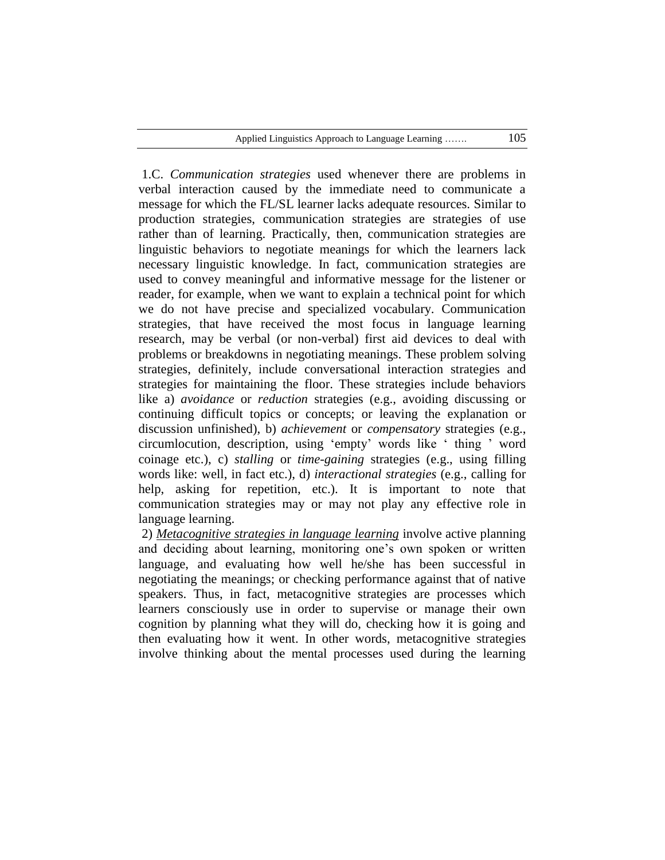1.C. *Communication strategies* used whenever there are problems in verbal interaction caused by the immediate need to communicate a message for which the FL/SL learner lacks adequate resources. Similar to production strategies, communication strategies are strategies of use rather than of learning. Practically, then, communication strategies are linguistic behaviors to negotiate meanings for which the learners lack necessary linguistic knowledge. In fact, communication strategies are used to convey meaningful and informative message for the listener or reader, for example, when we want to explain a technical point for which we do not have precise and specialized vocabulary. Communication strategies, that have received the most focus in language learning research, may be verbal (or non-verbal) first aid devices to deal with problems or breakdowns in negotiating meanings. These problem solving strategies, definitely, include conversational interaction strategies and strategies for maintaining the floor. These strategies include behaviors like a) *avoidance* or *reduction* strategies (e.g., avoiding discussing or continuing difficult topics or concepts; or leaving the explanation or discussion unfinished), b) *achievement* or *compensatory* strategies (e.g., circumlocution, description, using "empty" words like " thing " word coinage etc.), c) *stalling* or *time-gaining* strategies (e.g., using filling words like: well, in fact etc.), d) *interactional strategies* (e.g., calling for help, asking for repetition, etc.). It is important to note that communication strategies may or may not play any effective role in language learning.

2) *Metacognitive strategies in language learning* involve active planning and deciding about learning, monitoring one"s own spoken or written language, and evaluating how well he/she has been successful in negotiating the meanings; or checking performance against that of native speakers. Thus, in fact, metacognitive strategies are processes which learners consciously use in order to supervise or manage their own cognition by planning what they will do, checking how it is going and then evaluating how it went. In other words, metacognitive strategies involve thinking about the mental processes used during the learning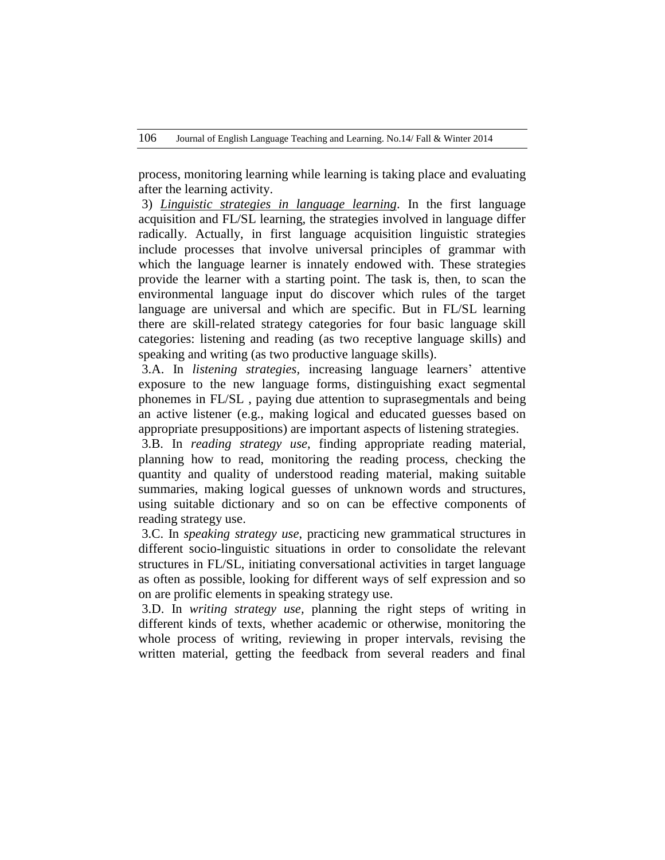process, monitoring learning while learning is taking place and evaluating after the learning activity.

3) *Linguistic strategies in language learning*. In the first language acquisition and FL/SL learning, the strategies involved in language differ radically. Actually, in first language acquisition linguistic strategies include processes that involve universal principles of grammar with which the language learner is innately endowed with. These strategies provide the learner with a starting point. The task is, then, to scan the environmental language input do discover which rules of the target language are universal and which are specific. But in FL/SL learning there are skill-related strategy categories for four basic language skill categories: listening and reading (as two receptive language skills) and speaking and writing (as two productive language skills).

3.A. In *listening strategies,* increasing language learners" attentive exposure to the new language forms, distinguishing exact segmental phonemes in FL/SL , paying due attention to suprasegmentals and being an active listener (e.g., making logical and educated guesses based on appropriate presuppositions) are important aspects of listening strategies.

3.B. In *reading strategy use*, finding appropriate reading material, planning how to read, monitoring the reading process, checking the quantity and quality of understood reading material, making suitable summaries, making logical guesses of unknown words and structures, using suitable dictionary and so on can be effective components of reading strategy use.

3.C. In *speaking strategy use*, practicing new grammatical structures in different socio-linguistic situations in order to consolidate the relevant structures in FL/SL, initiating conversational activities in target language as often as possible, looking for different ways of self expression and so on are prolific elements in speaking strategy use.

3.D. In *writing strategy use,* planning the right steps of writing in different kinds of texts, whether academic or otherwise, monitoring the whole process of writing, reviewing in proper intervals, revising the written material, getting the feedback from several readers and final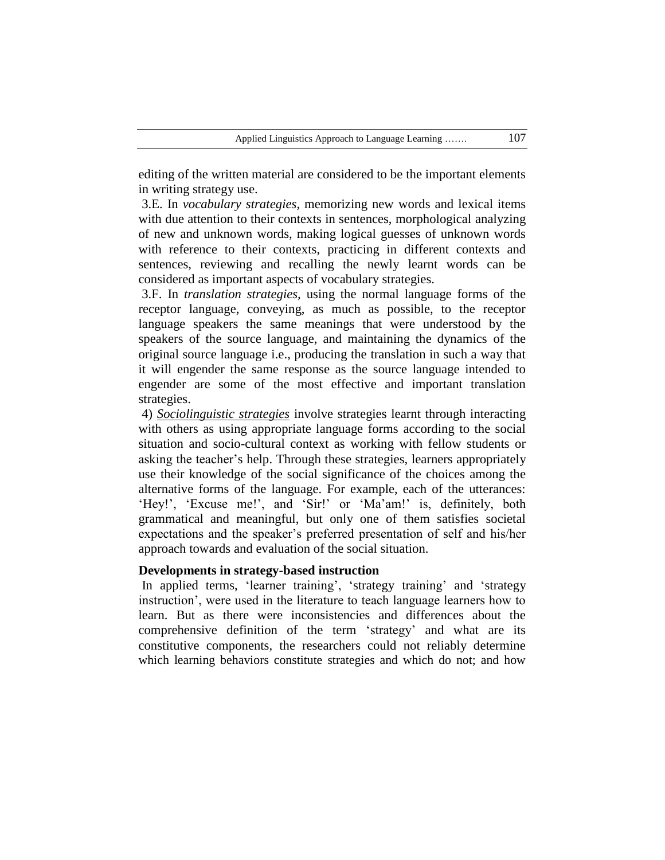editing of the written material are considered to be the important elements in writing strategy use.

3.E. In *vocabulary strategies*, memorizing new words and lexical items with due attention to their contexts in sentences, morphological analyzing of new and unknown words, making logical guesses of unknown words with reference to their contexts, practicing in different contexts and sentences, reviewing and recalling the newly learnt words can be considered as important aspects of vocabulary strategies.

3.F. In *translation strategies,* using the normal language forms of the receptor language, conveying, as much as possible, to the receptor language speakers the same meanings that were understood by the speakers of the source language, and maintaining the dynamics of the original source language i.e., producing the translation in such a way that it will engender the same response as the source language intended to engender are some of the most effective and important translation strategies.

4) *Sociolinguistic strategies* involve strategies learnt through interacting with others as using appropriate language forms according to the social situation and socio-cultural context as working with fellow students or asking the teacher"s help. Through these strategies, learners appropriately use their knowledge of the social significance of the choices among the alternative forms of the language. For example, each of the utterances: 'Hey!', 'Excuse me!', and 'Sir!' or 'Ma'am!' is, definitely, both grammatical and meaningful, but only one of them satisfies societal expectations and the speaker"s preferred presentation of self and his/her approach towards and evaluation of the social situation.

## **Developments in strategy-based instruction**

In applied terms, 'learner training', 'strategy training' and 'strategy instruction", were used in the literature to teach language learners how to learn. But as there were inconsistencies and differences about the comprehensive definition of the term "strategy" and what are its constitutive components, the researchers could not reliably determine which learning behaviors constitute strategies and which do not; and how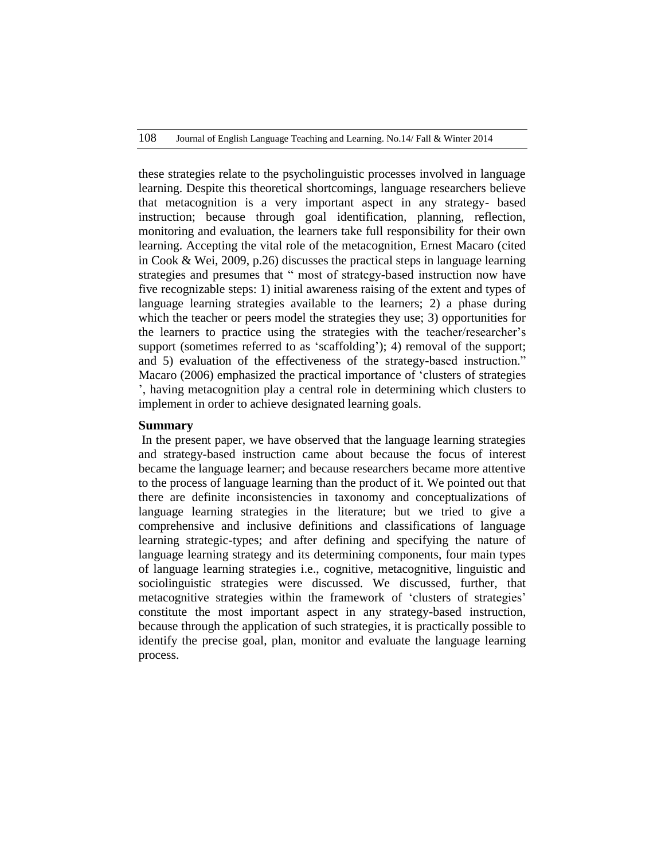these strategies relate to the psycholinguistic processes involved in language learning. Despite this theoretical shortcomings, language researchers believe that metacognition is a very important aspect in any strategy- based instruction; because through goal identification, planning, reflection, monitoring and evaluation, the learners take full responsibility for their own learning. Accepting the vital role of the metacognition, Ernest Macaro (cited in Cook & Wei, 2009, p.26) discusses the practical steps in language learning strategies and presumes that " most of strategy-based instruction now have five recognizable steps: 1) initial awareness raising of the extent and types of language learning strategies available to the learners; 2) a phase during which the teacher or peers model the strategies they use; 3) opportunities for the learners to practice using the strategies with the teacher/researcher"s support (sometimes referred to as 'scaffolding'); 4) removal of the support; and 5) evaluation of the effectiveness of the strategy-based instruction." Macaro (2006) emphasized the practical importance of "clusters of strategies ", having metacognition play a central role in determining which clusters to implement in order to achieve designated learning goals.

#### **Summary**

In the present paper, we have observed that the language learning strategies and strategy-based instruction came about because the focus of interest became the language learner; and because researchers became more attentive to the process of language learning than the product of it. We pointed out that there are definite inconsistencies in taxonomy and conceptualizations of language learning strategies in the literature; but we tried to give a comprehensive and inclusive definitions and classifications of language learning strategic-types; and after defining and specifying the nature of language learning strategy and its determining components, four main types of language learning strategies i.e., cognitive, metacognitive, linguistic and sociolinguistic strategies were discussed. We discussed, further, that metacognitive strategies within the framework of "clusters of strategies" constitute the most important aspect in any strategy-based instruction, because through the application of such strategies, it is practically possible to identify the precise goal, plan, monitor and evaluate the language learning process.